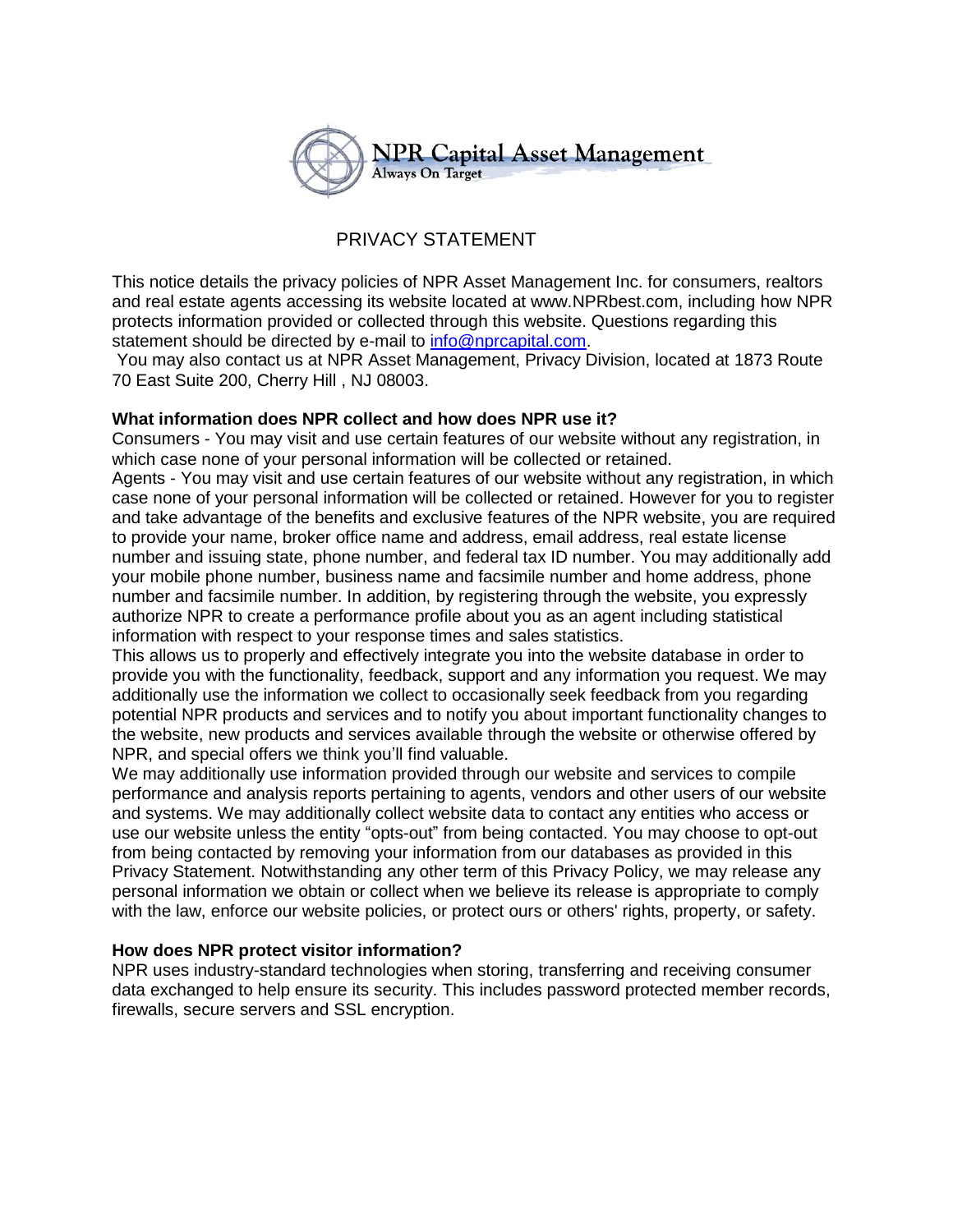

# PRIVACY STATEMENT

This notice details the privacy policies of NPR Asset Management Inc. for consumers, realtors and real estate agents accessing its website located at www.NPRbest.com, including how NPR protects information provided or collected through this website. Questions regarding this statement should be directed by e-mail to [info@nprcapital.com.](mailto:info@nprcapital.com)

You may also contact us at NPR Asset Management, Privacy Division, located at 1873 Route 70 East Suite 200, Cherry Hill , NJ 08003.

## **What information does NPR collect and how does NPR use it?**

Consumers - You may visit and use certain features of our website without any registration, in which case none of your personal information will be collected or retained.

Agents - You may visit and use certain features of our website without any registration, in which case none of your personal information will be collected or retained. However for you to register and take advantage of the benefits and exclusive features of the NPR website, you are required to provide your name, broker office name and address, email address, real estate license number and issuing state, phone number, and federal tax ID number. You may additionally add your mobile phone number, business name and facsimile number and home address, phone number and facsimile number. In addition, by registering through the website, you expressly authorize NPR to create a performance profile about you as an agent including statistical information with respect to your response times and sales statistics.

This allows us to properly and effectively integrate you into the website database in order to provide you with the functionality, feedback, support and any information you request. We may additionally use the information we collect to occasionally seek feedback from you regarding potential NPR products and services and to notify you about important functionality changes to the website, new products and services available through the website or otherwise offered by NPR, and special offers we think you'll find valuable.

We may additionally use information provided through our website and services to compile performance and analysis reports pertaining to agents, vendors and other users of our website and systems. We may additionally collect website data to contact any entities who access or use our website unless the entity "opts-out" from being contacted. You may choose to opt-out from being contacted by removing your information from our databases as provided in this Privacy Statement. Notwithstanding any other term of this Privacy Policy, we may release any personal information we obtain or collect when we believe its release is appropriate to comply with the law, enforce our website policies, or protect ours or others' rights, property, or safety.

## **How does NPR protect visitor information?**

NPR uses industry-standard technologies when storing, transferring and receiving consumer data exchanged to help ensure its security. This includes password protected member records, firewalls, secure servers and SSL encryption.